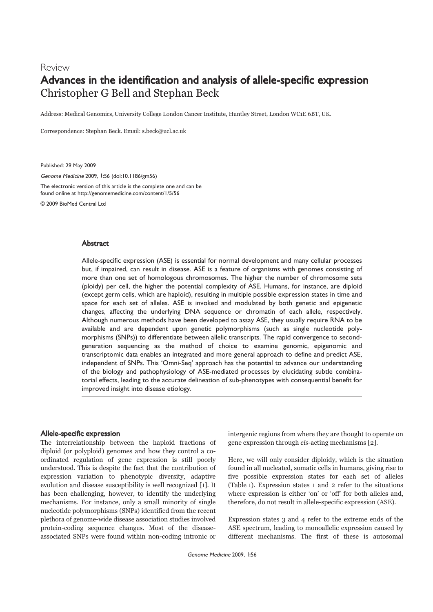# Review Advances in the identification and analysis of allele-specific expression Christopher G Bell and Stephan Beck

Address: Medical Genomics, University College London Cancer Institute, Huntley Street, London WC1E 6BT, UK.

Correspondence: Stephan Beck. Email: s.beck@ucl.ac.uk

Published: 29 May 2009

Genome Medicine 2009, 1:56 (doi:10.1186/gm56)

The electronic version of this article is the complete one and can be found online at http://genomemedicine.com/content/1/5/56

© 2009 BioMed Central Ltd

## Abstract

Allele-specific expression (ASE) is essential for normal development and many cellular processes but, if impaired, can result in disease. ASE is a feature of organisms with genomes consisting of more than one set of homologous chromosomes. The higher the number of chromosome sets (ploidy) per cell, the higher the potential complexity of ASE. Humans, for instance, are diploid (except germ cells, which are haploid), resulting in multiple possible expression states in time and space for each set of alleles. ASE is invoked and modulated by both genetic and epigenetic changes, affecting the underlying DNA sequence or chromatin of each allele, respectively. Although numerous methods have been developed to assay ASE, they usually require RNA to be available and are dependent upon genetic polymorphisms (such as single nucleotide polymorphisms (SNPs)) to differentiate between allelic transcripts. The rapid convergence to secondgeneration sequencing as the method of choice to examine genomic, epigenomic and transcriptomic data enables an integrated and more general approach to define and predict ASE, independent of SNPs. This 'Omni-Seq' approach has the potential to advance our understanding of the biology and pathophysiology of ASE-mediated processes by elucidating subtle combinatorial effects, leading to the accurate delineation of sub-phenotypes with consequential benefit for improved insight into disease etiology.

#### Allele-specific expression

The interrelationship between the haploid fractions of diploid (or polyploid) genomes and how they control a coordinated regulation of gene expression is still poorly understood. This is despite the fact that the contribution of expression variation to phenotypic diversity, adaptive evolution and disease susceptibility is well recognized [1]. It has been challenging, however, to identify the underlying mechanisms. For instance, only a small minority of single nucleotide polymorphisms (SNPs) identified from the recent plethora of genome-wide disease association studies involved protein-coding sequence changes. Most of the diseaseassociated SNPs were found within non-coding intronic or intergenic regions from where they are thought to operate on gene expression through cis-acting mechanisms [2].

Here, we will only consider diploidy, which is the situation found in all nucleated, somatic cells in humans, giving rise to five possible expression states for each set of alleles (Table 1). Expression states 1 and 2 refer to the situations where expression is either 'on' or 'off' for both alleles and, therefore, do not result in allele-specific expression (ASE).

Expression states 3 and 4 refer to the extreme ends of the ASE spectrum, leading to monoallelic expression caused by different mechanisms. The first of these is autosomal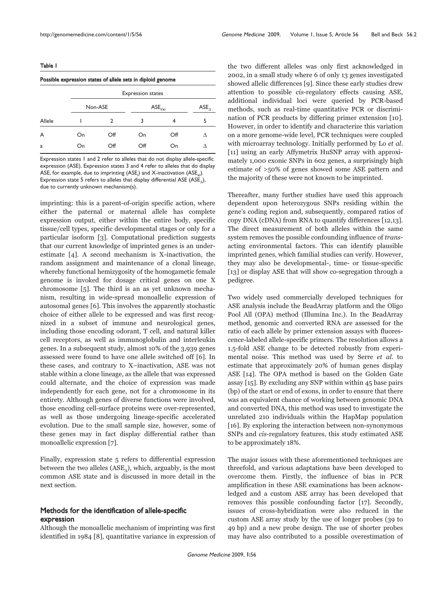| ۰.<br>. |  |
|---------|--|
|---------|--|

| Possible expression states of allele sets in diploid genome |                          |     |                                                  |                |                 |  |  |
|-------------------------------------------------------------|--------------------------|-----|--------------------------------------------------|----------------|-----------------|--|--|
| Allele                                                      | <b>Expression states</b> |     |                                                  |                |                 |  |  |
|                                                             | Non-ASE                  |     | $\mathsf{ASE}_{\mathsf{i}/\mathsf{x}\mathsf{i}}$ |                | $ASE_{\Lambda}$ |  |  |
|                                                             |                          | 2   | 3                                                | 4              | 5               |  |  |
| A                                                           | On                       | Off | On                                               | $\mathsf{Off}$ | Λ               |  |  |
| a                                                           | On                       | Off | Off                                              | On             | Λ               |  |  |

Expression states 1 and 2 refer to alleles that do not display allele-specific expression (ASE). Expression states 3 and 4 refer to alleles that do display ASE, for example, due to imprinting (ASE<sub>i</sub>) and X-inactivation (ASE<sub>xi</sub>). Expression state 5 refers to alleles that display differential ASE (ASE∆), due to currently unknown mechanism(s).

imprinting: this is a parent-of-origin specific action, where either the paternal or maternal allele has complete expression output, either within the entire body, specific tissue/cell types, specific developmental stages or only for a particular isoform [3]. Computational prediction suggests that our current knowledge of imprinted genes is an underestimate [4]. A second mechanism is X-inactivation, the random assignment and maintenance of a clonal lineage, whereby functional hemizygosity of the homogametic female genome is invoked for dosage critical genes on one X chromosome [5]. The third is an as yet unknown mechanism, resulting in wide-spread monoallelic expression of autosomal genes [6]. This involves the apparently stochastic choice of either allele to be expressed and was first recognized in a subset of immune and neurological genes, including those encoding odorant, T cell, and natural killer cell receptors, as well as immunoglobulin and interleukin genes. In a subsequent study, almost 10% of the 3,939 genes assessed were found to have one allele switched off [6]. In these cases, and contrary to X–inactivation, ASE was not stable within a clone lineage, as the allele that was expressed could alternate, and the choice of expression was made independently for each gene, not for a chromosome in its entirety. Although genes of diverse functions were involved, those encoding cell-surface proteins were over-represented, as well as those undergoing lineage-specific accelerated evolution. Due to the small sample size, however, some of these genes may in fact display differential rather than monoallelic expression [7].

Finally, expression state 5 refers to differential expression between the two alleles ( $\text{ASE}_\lambda$ ), which, arguably, is the most common ASE state and is discussed in more detail in the next section.

## Methods for the identification of allele-specific expression

Although the monoallelic mechanism of imprinting was first identified in 1984 [8], quantitative variance in expression of the two different alleles was only first acknowledged in 2002, in a small study where 6 of only 13 genes investigated showed allelic differences [9]. Since these early studies drew attention to possible cis-regulatory effects causing ASE, additional individual loci were queried by PCR-based methods, such as real-time quantitative PCR or discrimination of PCR products by differing primer extension [10]. However, in order to identify and characterize this variation on a more genome-wide level, PCR techniques were coupled with microarray technology. Initially performed by Lo et al. [11] using an early Affymetrix HuSNP array with approximately 1,000 exonic SNPs in 602 genes, a surprisingly high estimate of >50% of genes showed some ASE pattern and the majority of these were not known to be imprinted.

Thereafter, many further studies have used this approach dependent upon heterozygous SNPs residing within the gene's coding region and, subsequently, compared ratios of copy DNA (cDNA) from RNA to quantify differences [12,13]. The direct measurement of both alleles within the same system removes the possible confounding influence of transacting environmental factors. This can identify plausible imprinted genes, which familial studies can verify. However, they may also be developmental-, time- or tissue-specific [13] or display ASE that will show co-segregation through a pedigree.

Two widely used commercially developed techniques for ASE analysis include the BeadArray platform and the Oligo Pool All (OPA) method (Illumina Inc.). In the BeadArray method, genomic and converted RNA are assessed for the ratio of each allele by primer extension assays with fluorescence-labeled allele-specific primers. The resolution allows a 1.5-fold ASE change to be detected robustly from experimental noise. This method was used by Serre et al. to estimate that approximately 20% of human genes display ASE [14]. The OPA method is based on the Golden Gate assay [15]. By excluding any SNP within within 45 base pairs (bp) of the start or end of exons, in order to ensure that there was an equivalent chance of working between genomic DNA and converted DNA, this method was used to investigate the unrelated 210 individuals within the HapMap population [16]. By exploring the interaction between non-synonymous SNPs and cis-regulatory features, this study estimated ASE to be approximately 18%.

The major issues with these aforementioned techniques are threefold, and various adaptations have been developed to overcome them. Firstly, the influence of bias in PCR amplification in these ASE examinations has been acknowledged and a custom ASE array has been developed that removes this possible confounding factor [17]. Secondly, issues of cross-hybridization were also reduced in the custom ASE array study by the use of longer probes (39 to 49 bp) and a new probe design. The use of shorter probes may have also contributed to a possible overestimation of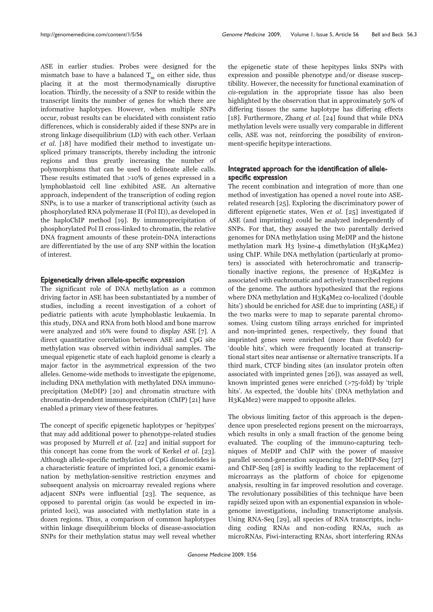ASE in earlier studies. Probes were designed for the mismatch base to have a balanced  $T_m$  on either side, thus placing it at the most thermodynamically disruptive location. Thirdly, the necessity of a SNP to reside within the transcript limits the number of genes for which there are informative haplotypes. However, when multiple SNPs occur, robust results can be elucidated with consistent ratio differences, which is considerably aided if these SNPs are in strong linkage disequilibrium (LD) with each other. Verlaan et al. [18] have modified their method to investigate unspliced primary transcripts, thereby including the intronic regions and thus greatly increasing the number of polymorphisms that can be used to delineate allele calls. These results estimated that >10% of genes expressed in a lymphoblastoid cell line exhibited ASE. An alternative approach, independent of the transcription of coding region SNPs, is to use a marker of transcriptional activity (such as phosphorylated RNA polymerase II (Pol II)), as developed in the haploChIP method [19]. By immunoprecipitation of phosphorylated Pol II cross-linked to chromatin, the relative DNA fragment amounts of these protein-DNA interactions are differentiated by the use of any SNP within the location of interest.

#### Epigenetically driven allele-specific expression

The significant role of DNA methylation as a common driving factor in ASE has been substantiated by a number of studies, including a recent investigation of a cohort of pediatric patients with acute lymphoblastic leukaemia. In this study, DNA and RNA from both blood and bone marrow were analyzed and 16% were found to display ASE [7]. A direct quantitative correlation between ASE and CpG site methylation was observed within individual samples. The unequal epigenetic state of each haploid genome is clearly a major factor in the asymmetrical expression of the two alleles. Genome-wide methods to investigate the epigenome, including DNA methylation with methylated DNA immunoprecipitation (MeDIP) [20] and chromatin structure with chromatin-dependent immunoprecipitation (ChIP) [21] have enabled a primary view of these features.

The concept of specific epigenetic haplotypes or 'hepitypes' that may add additional power to phenotype-related studies was proposed by Murrell et al. [22] and initial support for this concept has come from the work of Kerkel et al. [23]. Although allele-specific methylation of CpG dinucleotides is a characteristic feature of imprinted loci, a genomic examination by methylation-sensitive restriction enzymes and subsequent analysis on microarray revealed regions where adjacent SNPs were influential [23]. The sequence, as opposed to parental origin (as would be expected in imprinted loci), was associated with methylation state in a dozen regions. Thus, a comparison of common haplotypes within linkage disequilibrium blocks of disease-association SNPs for their methylation status may well reveal whether the epigenetic state of these hepitypes links SNPs with expression and possible phenotype and/or disease susceptibility. However, the necessity for functional examination of cis-regulation in the appropriate tissue has also been highlighted by the observation that in approximately 50% of differing tissues the same haplotype has differing effects [18]. Furthermore, Zhang et al. [24] found that while DNA methylation levels were usually very comparable in different cells, ASE was not, reinforcing the possibility of environment-specific hepitype interactions.

### Integrated approach for the identification of allelespecific expression

The recent combination and integration of more than one method of investigation has opened a novel route into ASErelated research [25]. Exploring the discriminatory power of different epigenetic states, Wen et al. [25] investigated if ASE (and imprinting) could be analyzed independently of SNPs. For that, they assayed the two parentally derived genomes for DNA methylation using MeDIP and the histone methylation mark H3 lysine-4 dimethylation (H3K4Me2) using ChIP. While DNA methylation (particularly at promoters) is associated with heterochromatic and transcriptionally inactive regions, the presence of H3K4Me2 is associated with euchromatic and actively transcribed regions of the genome. The authors hypothesized that the regions where DNA methylation and H3K4Me2 co-localized ('double hits') should be enriched for ASE due to imprinting  $(ASE_i)$  if the two marks were to map to separate parental chromosomes. Using custom tiling arrays enriched for imprinted and non-imprinted genes, respectively, they found that imprinted genes were enriched (more than fivefold) for 'double hits', which were frequently located at transcriptional start sites near antisense or alternative transcripts. If a third mark, CTCF binding sites (an insulator protein often associated with imprinted genes [26]), was assayed as well, known imprinted genes were enriched (>75-fold) by 'triple hits'. As expected, the 'double hits' (DNA methylation and H3K4Me2) were mapped to opposite alleles.

The obvious limiting factor of this approach is the dependence upon preselected regions present on the microarrays, which results in only a small fraction of the genome being evaluated. The coupling of the immuno-capturing techniques of MeDIP and ChIP with the power of massive parallel second-generation sequencing for MeDIP-Seq [27] and ChIP-Seq [28] is swiftly leading to the replacement of microarrays as the platform of choice for epigenome analysis, resulting in far improved resolution and coverage. The revolutionary possibilities of this technique have been rapidly seized upon with an exponential expansion in wholegenome investigations, including transcriptome analysis. Using RNA-Seq [29], all species of RNA transcripts, including coding RNAs and non-coding RNAs, such as microRNAs, Piwi-interacting RNAs, short interfering RNAs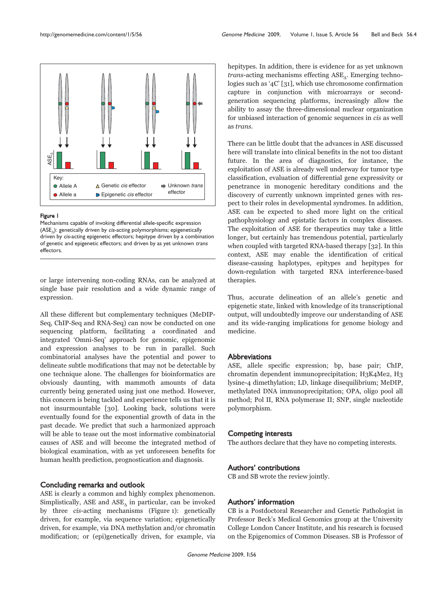

#### Figure 1

Mechanisms capable of invoking differential allele-specific expression (ASE∆): genetically driven by cis-acting polymorphisms; epigenetically driven by cis-acting epigenetic effectors; hepitype driven by a combination of genetic and epigenetic effectors; and driven by as yet unknown trans

or large intervening non-coding RNAs, can be analyzed at single base pair resolution and a wide dynamic range of expression.

All these different but complementary techniques (MeDIP-Seq, ChIP-Seq and RNA-Seq) can now be conducted on one sequencing platform, facilitating a coordinated and integrated 'Omni-Seq' approach for genomic, epigenomic and expression analyses to be run in parallel. Such combinatorial analyses have the potential and power to delineate subtle modifications that may not be detectable by one technique alone. The challenges for bioinformatics are obviously daunting, with mammoth amounts of data currently being generated using just one method. However, this concern is being tackled and experience tells us that it is not insurmountable [30]. Looking back, solutions were eventually found for the exponential growth of data in the past decade. We predict that such a harmonized approach will be able to tease out the most informative combinatorial causes of ASE and will become the integrated method of biological examination, with as yet unforeseen benefits for human health prediction, prognostication and diagnosis.

#### Concluding remarks and outlook

ASE is clearly a common and highly complex phenomenon. Simplistically, ASE and  $ASE<sub>Λ</sub>$  in particular, can be invoked by three cis-acting mechanisms (Figure 1): genetically driven, for example, via sequence variation; epigenetically driven, for example, via DNA methylation and/or chromatin modification; or (epi)genetically driven, for example, via

hepitypes. In addition, there is evidence for as yet unknown trans-acting mechanisms effecting ASE∆. Emerging technologies such as '4C' [31], which use chromosome confirmation capture in conjunction with microarrays or secondgeneration sequencing platforms, increasingly allow the ability to assay the three-dimensional nuclear organization for unbiased interaction of genomic sequences in cis as well as trans.

There can be little doubt that the advances in ASE discussed here will translate into clinical benefits in the not too distant future. In the area of diagnostics, for instance, the exploitation of ASE is already well underway for tumor type classification, evaluation of differential gene expressivity or penetrance in monogenic hereditary conditions and the discovery of currently unknown imprinted genes with respect to their roles in developmental syndromes. In addition, ASE can be expected to shed more light on the critical pathophysiology and epistatic factors in complex diseases. The exploitation of ASE for therapeutics may take a little longer, but certainly has tremendous potential, particularly when coupled with targeted RNA-based therapy [32]. In this context, ASE may enable the identification of critical disease-causing haplotypes, epitypes and hepitypes for down-regulation with targeted RNA interference-based therapies.

Thus, accurate delineation of an allele's genetic and epigenetic state, linked with knowledge of its transcriptional output, will undoubtedly improve our understanding of ASE and its wide-ranging implications for genome biology and medicine.

#### Abbreviations

ASE, allele specific expression; bp, base pair; ChIP, chromatin dependent immunoprecipitation; H3K4Me2, H3 lysine-4 dimethylation; LD, linkage disequilibrium; MeDIP, methylated DNA immunoprecipitation; OPA, oligo pool all method; Pol II, RNA polymerase II; SNP, single nucleotide polymorphism.

#### Competing interests

The authors declare that they have no competing interests.

## Authors' contributions

CB and SB wrote the review jointly.

#### Authors' information

CB is a Postdoctoral Researcher and Genetic Pathologist in Professor Beck's Medical Genomics group at the University College London Cancer Institute, and his research is focused on the Epigenomics of Common Diseases. SB is Professor of

Genome Medicine 2009, 1:56